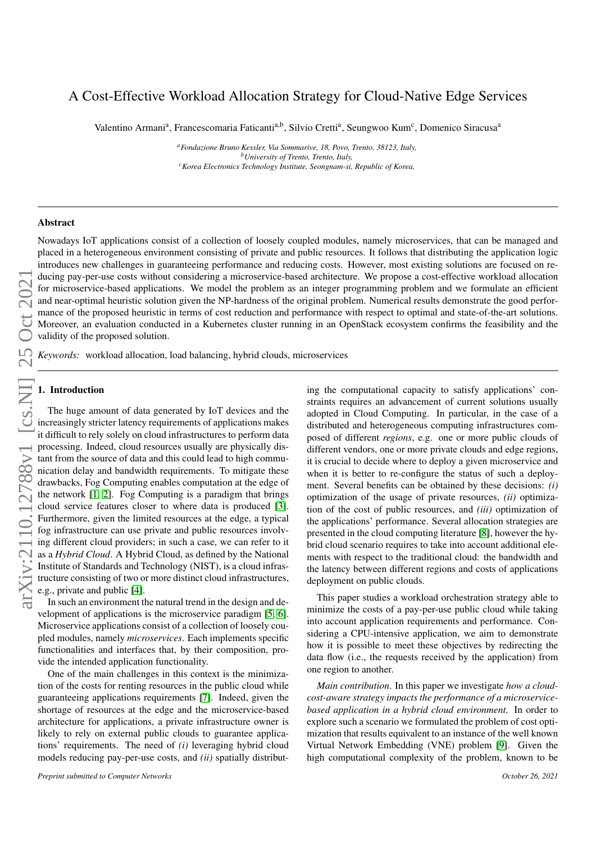# A Cost-Effective Workload Allocation Strategy for Cloud-Native Edge Services

Valentino Armani<sup>a</sup>, Francescomaria Faticanti<sup>a,b</sup>, Silvio Cretti<sup>a</sup>, Seungwoo Kum<sup>c</sup>, Domenico Siracusa<sup>a</sup>

*<sup>a</sup>Fondazione Bruno Kessler, Via Sommarive, 18, Povo, Trento, 38123, Italy, <sup>b</sup>University of Trento, Trento, Italy, <sup>c</sup>Korea Electronics Technology Institute, Seongnam-si, Republic of Korea,*

## Abstract

arXiv:2110.12788v1 [cs.NI] 25 Oct 2021arXiv:2110.12788v1 [cs.NI] 25 Oct 202

Nowadays IoT applications consist of a collection of loosely coupled modules, namely microservices, that can be managed and placed in a heterogeneous environment consisting of private and public resources. It follows that distributing the application logic introduces new challenges in guaranteeing performance and reducing costs. However, most existing solutions are focused on reducing pay-per-use costs without considering a microservice-based architecture. We propose a cost-effective workload allocation for microservice-based applications. We model the problem as an integer programming problem and we formulate an efficient and near-optimal heuristic solution given the NP-hardness of the original problem. Numerical results demonstrate the good performance of the proposed heuristic in terms of cost reduction and performance with respect to optimal and state-of-the-art solutions. Moreover, an evaluation conducted in a Kubernetes cluster running in an OpenStack ecosystem confirms the feasibility and the validity of the proposed solution.

*Keywords:* workload allocation, load balancing, hybrid clouds, microservices

# 1. Introduction

The huge amount of data generated by IoT devices and the increasingly stricter latency requirements of applications makes it difficult to rely solely on cloud infrastructures to perform data processing. Indeed, cloud resources usually are physically distant from the source of data and this could lead to high communication delay and bandwidth requirements. To mitigate these drawbacks, Fog Computing enables computation at the edge of the network [\[1,](#page-13-0) [2\]](#page-13-1). Fog Computing is a paradigm that brings cloud service features closer to where data is produced [\[3\]](#page-13-2). Furthermore, given the limited resources at the edge, a typical fog infrastructure can use private and public resources involving different cloud providers; in such a case, we can refer to it as a *Hybrid Cloud*. A Hybrid Cloud, as defined by the National Institute of Standards and Technology (NIST), is a cloud infrastructure consisting of two or more distinct cloud infrastructures, e.g., private and public [\[4\]](#page-13-3).

In such an environment the natural trend in the design and development of applications is the microservice paradigm [\[5,](#page-13-4) [6\]](#page-13-5). Microservice applications consist of a collection of loosely coupled modules, namely *microservices*. Each implements specific functionalities and interfaces that, by their composition, provide the intended application functionality.

One of the main challenges in this context is the minimization of the costs for renting resources in the public cloud while guaranteeing applications requirements [\[7\]](#page-13-6). Indeed, given the shortage of resources at the edge and the microservice-based architecture for applications, a private infrastructure owner is likely to rely on external public clouds to guarantee applications' requirements. The need of *(i)* leveraging hybrid cloud models reducing pay-per-use costs, and *(ii)* spatially distributing the computational capacity to satisfy applications' constraints requires an advancement of current solutions usually adopted in Cloud Computing. In particular, in the case of a distributed and heterogeneous computing infrastructures composed of different *regions*, e.g. one or more public clouds of different vendors, one or more private clouds and edge regions, it is crucial to decide where to deploy a given microservice and when it is better to re-configure the status of such a deployment. Several benefits can be obtained by these decisions: *(i)* optimization of the usage of private resources, *(ii)* optimization of the cost of public resources, and *(iii)* optimization of the applications' performance. Several allocation strategies are presented in the cloud computing literature [\[8\]](#page-13-7), however the hybrid cloud scenario requires to take into account additional elements with respect to the traditional cloud: the bandwidth and the latency between different regions and costs of applications deployment on public clouds.

This paper studies a workload orchestration strategy able to minimize the costs of a pay-per-use public cloud while taking into account application requirements and performance. Considering a CPU-intensive application, we aim to demonstrate how it is possible to meet these objectives by redirecting the data flow (i.e., the requests received by the application) from one region to another.

*Main contribution*. In this paper we investigate *how a cloudcost-aware strategy impacts the performance of a microservicebased application in a hybrid cloud environment.* In order to explore such a scenario we formulated the problem of cost optimization that results equivalent to an instance of the well known Virtual Network Embedding (VNE) problem [\[9\]](#page-13-8). Given the high computational complexity of the problem, known to be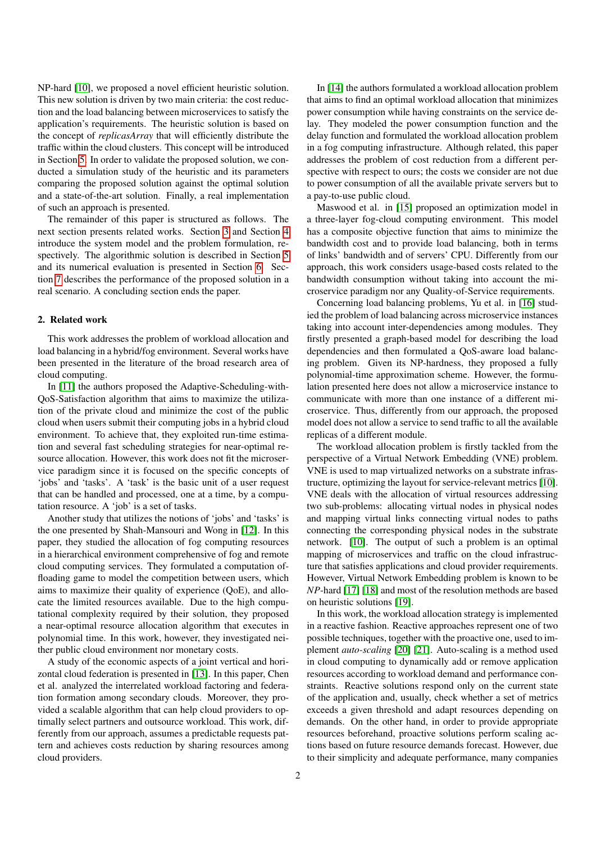NP-hard [\[10\]](#page-13-9), we proposed a novel efficient heuristic solution. This new solution is driven by two main criteria: the cost reduction and the load balancing between microservices to satisfy the application's requirements. The heuristic solution is based on the concept of *replicasArray* that will efficiently distribute the traffic within the cloud clusters. This concept will be introduced in Section [5.](#page-4-0) In order to validate the proposed solution, we conducted a simulation study of the heuristic and its parameters comparing the proposed solution against the optimal solution and a state-of-the-art solution. Finally, a real implementation of such an approach is presented.

The remainder of this paper is structured as follows. The next section presents related works. Section [3](#page-2-0) and Section [4](#page-3-0) introduce the system model and the problem formulation, respectively. The algorithmic solution is described in Section [5](#page-4-0) and its numerical evaluation is presented in Section [6.](#page-6-0) Section [7](#page-10-0) describes the performance of the proposed solution in a real scenario. A concluding section ends the paper.

## 2. Related work

This work addresses the problem of workload allocation and load balancing in a hybrid/fog environment. Several works have been presented in the literature of the broad research area of cloud computing.

In [\[11\]](#page-13-10) the authors proposed the Adaptive-Scheduling-with-QoS-Satisfaction algorithm that aims to maximize the utilization of the private cloud and minimize the cost of the public cloud when users submit their computing jobs in a hybrid cloud environment. To achieve that, they exploited run-time estimation and several fast scheduling strategies for near-optimal resource allocation. However, this work does not fit the microservice paradigm since it is focused on the specific concepts of 'jobs' and 'tasks'. A 'task' is the basic unit of a user request that can be handled and processed, one at a time, by a computation resource. A 'job' is a set of tasks.

Another study that utilizes the notions of 'jobs' and 'tasks' is the one presented by Shah-Mansouri and Wong in [\[12\]](#page-13-11). In this paper, they studied the allocation of fog computing resources in a hierarchical environment comprehensive of fog and remote cloud computing services. They formulated a computation offloading game to model the competition between users, which aims to maximize their quality of experience (QoE), and allocate the limited resources available. Due to the high computational complexity required by their solution, they proposed a near-optimal resource allocation algorithm that executes in polynomial time. In this work, however, they investigated neither public cloud environment nor monetary costs.

A study of the economic aspects of a joint vertical and horizontal cloud federation is presented in [\[13\]](#page-13-12). In this paper, Chen et al. analyzed the interrelated workload factoring and federation formation among secondary clouds. Moreover, they provided a scalable algorithm that can help cloud providers to optimally select partners and outsource workload. This work, differently from our approach, assumes a predictable requests pattern and achieves costs reduction by sharing resources among cloud providers.

In [\[14\]](#page-13-13) the authors formulated a workload allocation problem that aims to find an optimal workload allocation that minimizes power consumption while having constraints on the service delay. They modeled the power consumption function and the delay function and formulated the workload allocation problem in a fog computing infrastructure. Although related, this paper addresses the problem of cost reduction from a different perspective with respect to ours; the costs we consider are not due to power consumption of all the available private servers but to a pay-to-use public cloud.

Maswood et al. in [\[15\]](#page-13-14) proposed an optimization model in a three-layer fog-cloud computing environment. This model has a composite objective function that aims to minimize the bandwidth cost and to provide load balancing, both in terms of links' bandwidth and of servers' CPU. Differently from our approach, this work considers usage-based costs related to the bandwidth consumption without taking into account the microservice paradigm nor any Quality-of-Service requirements.

Concerning load balancing problems, Yu et al. in [\[16\]](#page-13-15) studied the problem of load balancing across microservice instances taking into account inter-dependencies among modules. They firstly presented a graph-based model for describing the load dependencies and then formulated a QoS-aware load balancing problem. Given its NP-hardness, they proposed a fully polynomial-time approximation scheme. However, the formulation presented here does not allow a microservice instance to communicate with more than one instance of a different microservice. Thus, differently from our approach, the proposed model does not allow a service to send traffic to all the available replicas of a different module.

The workload allocation problem is firstly tackled from the perspective of a Virtual Network Embedding (VNE) problem. VNE is used to map virtualized networks on a substrate infrastructure, optimizing the layout for service-relevant metrics [\[10\]](#page-13-9). VNE deals with the allocation of virtual resources addressing two sub-problems: allocating virtual nodes in physical nodes and mapping virtual links connecting virtual nodes to paths connecting the corresponding physical nodes in the substrate network. [\[10\]](#page-13-9). The output of such a problem is an optimal mapping of microservices and traffic on the cloud infrastructure that satisfies applications and cloud provider requirements. However, Virtual Network Embedding problem is known to be *NP*-hard [\[17\]](#page-13-16) [\[18\]](#page-13-17) and most of the resolution methods are based on heuristic solutions [\[19\]](#page-13-18).

In this work, the workload allocation strategy is implemented in a reactive fashion. Reactive approaches represent one of two possible techniques, together with the proactive one, used to implement *auto-scaling* [\[20\]](#page-13-19) [\[21\]](#page-13-20). Auto-scaling is a method used in cloud computing to dynamically add or remove application resources according to workload demand and performance constraints. Reactive solutions respond only on the current state of the application and, usually, check whether a set of metrics exceeds a given threshold and adapt resources depending on demands. On the other hand, in order to provide appropriate resources beforehand, proactive solutions perform scaling actions based on future resource demands forecast. However, due to their simplicity and adequate performance, many companies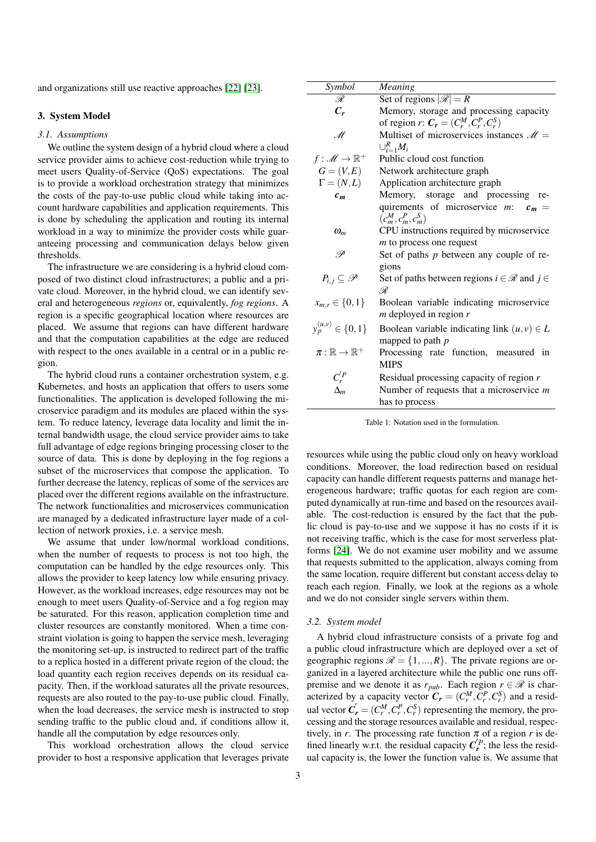and organizations still use reactive approaches [\[22\]](#page-13-21) [\[23\]](#page-13-22).

## <span id="page-2-0"></span>3. System Model

#### *3.1. Assumptions*

We outline the system design of a hybrid cloud where a cloud service provider aims to achieve cost-reduction while trying to meet users Quality-of-Service (QoS) expectations. The goal is to provide a workload orchestration strategy that minimizes the costs of the pay-to-use public cloud while taking into account hardware capabilities and application requirements. This is done by scheduling the application and routing its internal workload in a way to minimize the provider costs while guaranteeing processing and communication delays below given thresholds.

The infrastructure we are considering is a hybrid cloud composed of two distinct cloud infrastructures; a public and a private cloud. Moreover, in the hybrid cloud, we can identify several and heterogeneous *regions* or, equivalently, *fog regions*. A region is a specific geographical location where resources are placed. We assume that regions can have different hardware and that the computation capabilities at the edge are reduced with respect to the ones available in a central or in a public region.

The hybrid cloud runs a container orchestration system, e.g. Kubernetes, and hosts an application that offers to users some functionalities. The application is developed following the microservice paradigm and its modules are placed within the system. To reduce latency, leverage data locality and limit the internal bandwidth usage, the cloud service provider aims to take full advantage of edge regions bringing processing closer to the source of data. This is done by deploying in the fog regions a subset of the microservices that compose the application. To further decrease the latency, replicas of some of the services are placed over the different regions available on the infrastructure. The network functionalities and microservices communication are managed by a dedicated infrastructure layer made of a collection of network proxies, i.e. a service mesh.

We assume that under low/normal workload conditions, when the number of requests to process is not too high, the computation can be handled by the edge resources only. This allows the provider to keep latency low while ensuring privacy. However, as the workload increases, edge resources may not be enough to meet users Quality-of-Service and a fog region may be saturated. For this reason, application completion time and cluster resources are constantly monitored. When a time constraint violation is going to happen the service mesh, leveraging the monitoring set-up, is instructed to redirect part of the traffic to a replica hosted in a different private region of the cloud; the load quantity each region receives depends on its residual capacity. Then, if the workload saturates all the private resources, requests are also routed to the pay-to-use public cloud. Finally, when the load decreases, the service mesh is instructed to stop sending traffic to the public cloud and, if conditions allow it, handle all the computation by edge resources only.

This workload orchestration allows the cloud service provider to host a responsive application that leverages private

| Symbol                            | Meaning                                                             |  |  |  |  |
|-----------------------------------|---------------------------------------------------------------------|--|--|--|--|
| R                                 | Set of regions $ \mathcal{R}  = R$                                  |  |  |  |  |
| $C_r$                             | Memory, storage and processing capacity                             |  |  |  |  |
|                                   | of region r: $C_r = (C_r^M, C_r^P, C_r^S)$                          |  |  |  |  |
| M.                                | Multiset of microservices instances $\mathcal{M} =$                 |  |  |  |  |
|                                   | $\cup_{i=1}^R M_i$                                                  |  |  |  |  |
| $f: \mathscr{M} \to \mathbb{R}^+$ | Public cloud cost function                                          |  |  |  |  |
| $G=(V,E)$                         | Network architecture graph                                          |  |  |  |  |
| $\Gamma = (N, L)$                 | Application architecture graph                                      |  |  |  |  |
| $c_m$                             | Memory, storage and processing re-                                  |  |  |  |  |
|                                   | quirements of microservice m:<br>$c_m =$<br>$(c_m^M, c_m^P, c_m^S)$ |  |  |  |  |
| $\omega_{m}$                      | CPU instructions required by microservice                           |  |  |  |  |
|                                   | <i>m</i> to process one request                                     |  |  |  |  |
| .P                                | Set of paths $p$ between any couple of re-                          |  |  |  |  |
|                                   | gions                                                               |  |  |  |  |
| $P_{i,j}\subseteq\mathscr{P}$     | Set of paths between regions $i \in \mathcal{R}$ and $j \in$        |  |  |  |  |
|                                   | R                                                                   |  |  |  |  |
| $x_{m,r} \in \{0,1\}$             | Boolean variable indicating microservice                            |  |  |  |  |
|                                   | $m$ deployed in region $r$                                          |  |  |  |  |
| $y_p^{(u,v)} \in \{0,1\}$         | Boolean variable indicating link $(u, v) \in L$                     |  |  |  |  |
|                                   | mapped to path p                                                    |  |  |  |  |
| $\pi:\mathbb{R}\to\mathbb{R}^+$   | Processing rate function, measured in                               |  |  |  |  |
|                                   | <b>MIPS</b>                                                         |  |  |  |  |
| $C_r^{'P}$                        | Residual processing capacity of region $r$                          |  |  |  |  |
| $\Delta_m$                        | Number of requests that a microservice $m$                          |  |  |  |  |
|                                   | has to process                                                      |  |  |  |  |
|                                   |                                                                     |  |  |  |  |

Table 1: Notation used in the formulation.

resources while using the public cloud only on heavy workload conditions. Moreover, the load redirection based on residual capacity can handle different requests patterns and manage heterogeneous hardware; traffic quotas for each region are computed dynamically at run-time and based on the resources available. The cost-reduction is ensured by the fact that the public cloud is pay-to-use and we suppose it has no costs if it is not receiving traffic, which is the case for most serverless platforms [\[24\]](#page-13-23). We do not examine user mobility and we assume that requests submitted to the application, always coming from the same location, require different but constant access delay to reach each region. Finally, we look at the regions as a whole and we do not consider single servers within them.

#### *3.2. System model*

A hybrid cloud infrastructure consists of a private fog and a public cloud infrastructure which are deployed over a set of geographic regions  $\mathcal{R} = \{1, ..., R\}$ . The private regions are organized in a layered architecture while the public one runs offpremise and we denote it as  $r_{pub}$ . Each region  $r \in \mathcal{R}$  is characterized by a capacity vector  $C_r = (C_r^M, C_r^P, C_r^S)$  and a residual vector  $\mathbf{C}'_r = (C_r^M, C_r^P, C_r^S)$  representing the memory, the processing and the storage resources available and residual, respectively, in *r*. The processing rate function  $\pi$  of a region *r* is defined linearly w.r.t. the residual capacity  $C_r^{'P}$ ; the less the residual capacity is, the lower the function value is. We assume that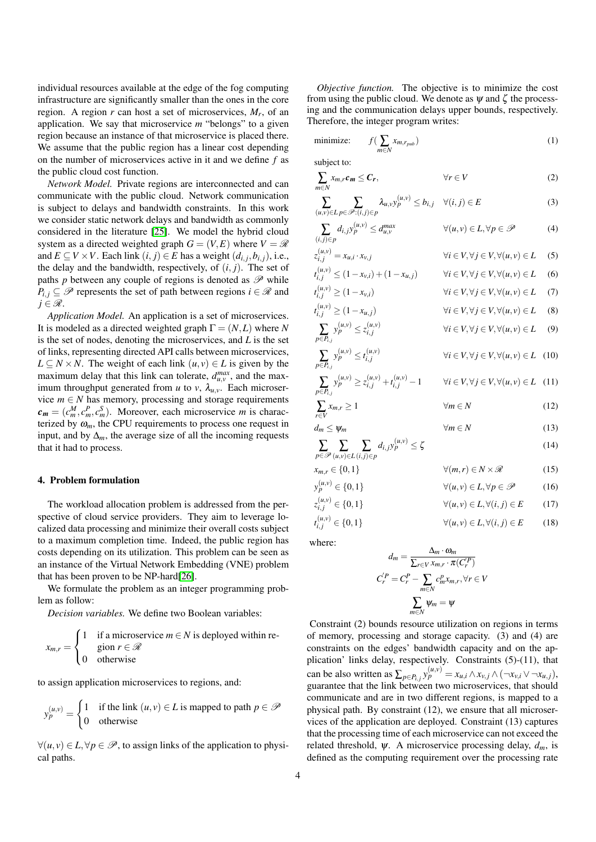individual resources available at the edge of the fog computing infrastructure are significantly smaller than the ones in the core region. A region *r* can host a set of microservices, *M<sup>r</sup>* , of an application. We say that microservice *m* "belongs" to a given region because an instance of that microservice is placed there. We assume that the public region has a linear cost depending on the number of microservices active in it and we define *f* as the public cloud cost function.

*Network Model.* Private regions are interconnected and can communicate with the public cloud. Network communication is subject to delays and bandwidth constraints. In this work we consider static network delays and bandwidth as commonly considered in the literature [\[25\]](#page-13-24). We model the hybrid cloud system as a directed weighted graph  $G = (V, E)$  where  $V = \mathcal{R}$ and *E* ⊆ *V* × *V*. Each link  $(i, j)$  ∈ *E* has a weight  $(d_{i,j}, b_{i,j})$ , i.e., the delay and the bandwidth, respectively, of  $(i, j)$ . The set of paths *p* between any couple of regions is denoted as  $\mathscr P$  while  $P_i$ ,  $\subset \mathscr{P}$  represents the set of path between regions  $i \in \mathscr{R}$  and  $j \in \mathscr{R}$ .

*Application Model.* An application is a set of microservices. It is modeled as a directed weighted graph  $\Gamma = (N, L)$  where *N* is the set of nodes, denoting the microservices, and *L* is the set of links, representing directed API calls between microservices,  $L \subseteq N \times N$ . The weight of each link  $(u, v) \in L$  is given by the maximum delay that this link can tolerate,  $d_{u,v}^{max}$ , and the maximum throughput generated from *u* to *v*,  $\lambda_{u,v}$ . Each microservice  $m \in N$  has memory, processing and storage requirements  $c_m = (c_m^M, c_m^P, c_m^S)$ . Moreover, each microservice *m* is characterized by  $\omega_m$ , the CPU requirements to process one request in input, and by  $\Delta_m$ , the average size of all the incoming requests that it had to process.

## <span id="page-3-0"></span>4. Problem formulation

The workload allocation problem is addressed from the perspective of cloud service providers. They aim to leverage localized data processing and minimize their overall costs subject to a maximum completion time. Indeed, the public region has costs depending on its utilization. This problem can be seen as an instance of the Virtual Network Embedding (VNE) problem that has been proven to be NP-hard[\[26\]](#page-13-25).

We formulate the problem as an integer programming problem as follow:

*Decision variables.* We define two Boolean variables:

<span id="page-3-1"></span>
$$
x_{m,r} = \begin{cases} 1 & \text{if a microscopic } m \in N \text{ is deployed within region } r \in \mathcal{R} \\ 0 & \text{otherwise} \end{cases}
$$

to assign application microservices to regions, and:

$$
y_p^{(u,v)} = \begin{cases} 1 & \text{if the link } (u, v) \in L \text{ is mapped to path } p \in \mathcal{P} \\ 0 & \text{otherwise} \end{cases}
$$

 $\forall (u, v) \in L, \forall p \in \mathscr{P}$ , to assign links of the application to physical paths.

*Objective function.* The objective is to minimize the cost from using the public cloud. We denote as  $\psi$  and  $\zeta$  the processing and the communication delays upper bounds, respectively. Therefore, the integer program writes:

minimize: 
$$
f(\sum_{m \in N} x_{m,r_{pub}})
$$
 (1)

subject to:

*t*

*t*

*t*

$$
\sum_{m \in N} x_{m,r} \mathbf{c}_m \leq \mathbf{C}_r, \qquad \forall r \in V \tag{2}
$$

$$
\sum_{(u,v)\in L} \sum_{p\in \mathscr{P}:(i,j)\in p} \lambda_{u,v} y_p^{(u,v)} \le b_{i,j} \quad \forall (i,j)\in E
$$
 (3)

$$
\sum_{(i,j)\in p} d_{i,j} y_p^{(u,v)} \le d_{u,v}^{\max} \qquad \forall (u,v) \in L, \forall p \in \mathcal{P} \tag{4}
$$

$$
z_{i,j}^{(u,v)} = x_{u,i} \cdot x_{v,j} \qquad \forall i \in V, \forall j \in V, \forall (u,v) \in L \quad (5)
$$
  

$$
r^{(u,v)} < (1 - x, \cdot) + (1 - x, \cdot) \qquad \forall i \in V \ \forall i \in V \ \forall (u,v) \in I \quad (6)
$$

$$
\begin{aligned}\n\mathbf{u}_{i,j} &\geq (1 - \mathbf{v}_{v,i}) + (1 - \mathbf{v}_{u,j}) && \mathbf{v} \in V, \forall j \in V, \forall (u, v) \in E \quad (0) \\
(\mathbf{u}_{v,i}) &> (1 - \mathbf{x}_{v,i}) && \forall i \in V, \forall j \in V, \forall (u, v) \in L \quad (7)\n\end{aligned}
$$

$$
\begin{aligned}\n\mathbf{u}_{i,j} &= \langle \mathbf{u}_{i,j} \rangle \\
\mathbf{v}_{i,j}^{(u,v)} &\ge (1 - x_{u,j})\n\end{aligned}\n\qquad \qquad \forall i \in V, \forall j \in V, \forall (u,v) \in L \tag{8}
$$

$$
\sum_{p \in P_{i,j}} y_p^{(u,v)} \le z_{i,j}^{(u,v)} \qquad \forall i \in V, \forall j \in V, \forall (u,v) \in L \tag{9}
$$

$$
\sum_{p \in P_{i,j}} y_p^{(u,v)} \le t_{i,j}^{(u,v)} \qquad \forall i \in V, \forall j \in V, \forall (u,v) \in L \quad (10)
$$
\n
$$
\sum_{p \in P_{i,j}} (u, v) \le (u, v) \le (u, v) \quad \text{if } \forall i \in V, \forall i \in V, \forall (u, v) \in L \quad (11)
$$

$$
\sum_{p \in P_{i,j}} y_p^{(u,v)} \ge z_{i,j}^{(u,v)} + t_{i,j}^{(u,v)} - 1 \qquad \forall i \in V, \forall j \in V, \forall (u,v) \in L \quad (11)
$$
\n
$$
\sum_{j} x_{m,r} \ge 1 \qquad \forall m \in N \qquad (12)
$$

$$
\sum_{r \in V} x_{m,r} = 1 \qquad \qquad \text{and} \qquad (12)
$$
\n
$$
d_m \le \psi_m \qquad \qquad \forall m \in N \qquad (13)
$$

$$
\sum_{p \in \mathcal{P}} \sum_{(u,v) \in L(i,j) \in p} d_{i,j} y_p^{(u,v)} \le \zeta \tag{14}
$$

$$
x_{m,r} \in \{0, 1\} \qquad \forall (m, r) \in N \times \mathcal{R} \qquad (15)
$$
  
\n
$$
y_p^{(u,v)} \in \{0, 1\} \qquad \forall (u, v) \in L, \forall p \in \mathcal{P} \qquad (16)
$$
  
\n
$$
z_{i,j}^{(u,v)} \in \{0, 1\} \qquad \forall (u, v) \in L, \forall (i, j) \in E \qquad (17)
$$
  
\n
$$
y_{i,j}^{(u,v)} \in \{0, 1\} \qquad \forall (u, v) \in L, \forall (i, j) \in E \qquad (18)
$$

*i* $\forall (u, v) \in L, \forall (i, j) \in E$  (18)

where:

$$
d_m = \frac{\Delta_m \cdot \omega_m}{\sum_{r \in V} x_{m,r} \cdot \pi(C_r^P)}
$$

$$
C_r^{'P} = C_r^P - \sum_{m \in N} c_m^P x_{m,r}, \forall r \in V
$$

$$
\sum_{m \in N} \psi_m = \psi
$$

Constraint (2) bounds resource utilization on regions in terms of memory, processing and storage capacity. (3) and (4) are constraints on the edges' bandwidth capacity and on the application' links delay, respectively. Constraints (5)-(11), that can be also written as  $\sum_{p \in P_{i,j}} y_p^{(u,v)} = x_{u,i} \wedge x_{v,j} \wedge (\neg x_{v,i} \vee \neg x_{u,j}),$ guarantee that the link between two microservices, that should communicate and are in two different regions, is mapped to a physical path. By constraint (12), we ensure that all microservices of the application are deployed. Constraint (13) captures that the processing time of each microservice can not exceed the related threshold,  $\psi$ . A microservice processing delay,  $d_m$ , is defined as the computing requirement over the processing rate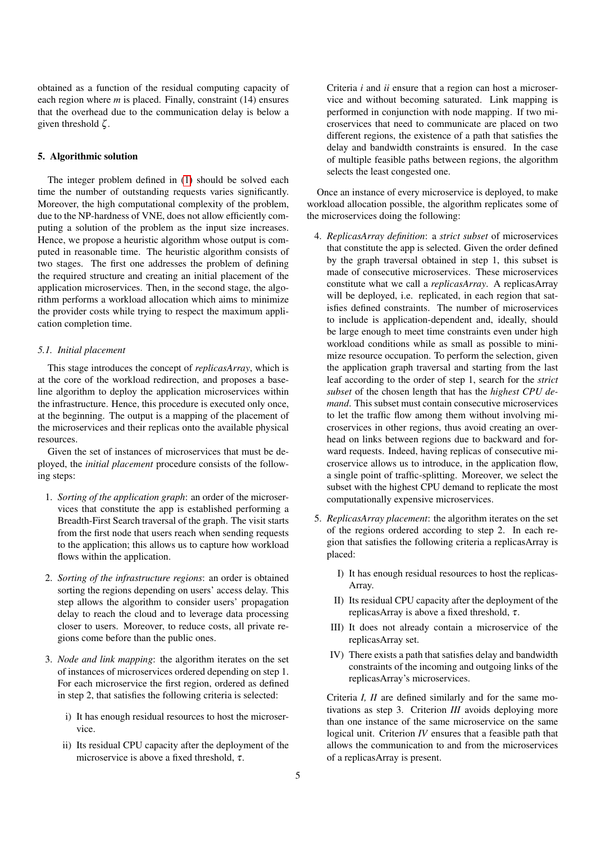obtained as a function of the residual computing capacity of each region where *m* is placed. Finally, constraint (14) ensures that the overhead due to the communication delay is below a given threshold  $\zeta$ .

#### <span id="page-4-0"></span>5. Algorithmic solution

The integer problem defined in [\(1\)](#page-3-1) should be solved each time the number of outstanding requests varies significantly. Moreover, the high computational complexity of the problem, due to the NP-hardness of VNE, does not allow efficiently computing a solution of the problem as the input size increases. Hence, we propose a heuristic algorithm whose output is computed in reasonable time. The heuristic algorithm consists of two stages. The first one addresses the problem of defining the required structure and creating an initial placement of the application microservices. Then, in the second stage, the algorithm performs a workload allocation which aims to minimize the provider costs while trying to respect the maximum application completion time.

#### <span id="page-4-1"></span>*5.1. Initial placement*

This stage introduces the concept of *replicasArray*, which is at the core of the workload redirection, and proposes a baseline algorithm to deploy the application microservices within the infrastructure. Hence, this procedure is executed only once, at the beginning. The output is a mapping of the placement of the microservices and their replicas onto the available physical resources.

Given the set of instances of microservices that must be deployed, the *initial placement* procedure consists of the following steps:

- 1. *Sorting of the application graph*: an order of the microservices that constitute the app is established performing a Breadth-First Search traversal of the graph. The visit starts from the first node that users reach when sending requests to the application; this allows us to capture how workload flows within the application.
- 2. *Sorting of the infrastructure regions*: an order is obtained sorting the regions depending on users' access delay. This step allows the algorithm to consider users' propagation delay to reach the cloud and to leverage data processing closer to users. Moreover, to reduce costs, all private regions come before than the public ones.
- 3. *Node and link mapping*: the algorithm iterates on the set of instances of microservices ordered depending on step 1. For each microservice the first region, ordered as defined in step 2, that satisfies the following criteria is selected:
	- i) It has enough residual resources to host the microservice.
	- ii) Its residual CPU capacity after the deployment of the microservice is above a fixed threshold,  $\tau$ .

Criteria *i* and *ii* ensure that a region can host a microservice and without becoming saturated. Link mapping is performed in conjunction with node mapping. If two microservices that need to communicate are placed on two different regions, the existence of a path that satisfies the delay and bandwidth constraints is ensured. In the case of multiple feasible paths between regions, the algorithm selects the least congested one.

Once an instance of every microservice is deployed, to make workload allocation possible, the algorithm replicates some of the microservices doing the following:

- 4. *ReplicasArray definition*: a *strict subset* of microservices that constitute the app is selected. Given the order defined by the graph traversal obtained in step 1, this subset is made of consecutive microservices. These microservices constitute what we call a *replicasArray*. A replicasArray will be deployed, i.e. replicated, in each region that satisfies defined constraints. The number of microservices to include is application-dependent and, ideally, should be large enough to meet time constraints even under high workload conditions while as small as possible to minimize resource occupation. To perform the selection, given the application graph traversal and starting from the last leaf according to the order of step 1, search for the *strict subset* of the chosen length that has the *highest CPU demand*. This subset must contain consecutive microservices to let the traffic flow among them without involving microservices in other regions, thus avoid creating an overhead on links between regions due to backward and forward requests. Indeed, having replicas of consecutive microservice allows us to introduce, in the application flow, a single point of traffic-splitting. Moreover, we select the subset with the highest CPU demand to replicate the most computationally expensive microservices.
- 5. *ReplicasArray placement*: the algorithm iterates on the set of the regions ordered according to step 2. In each region that satisfies the following criteria a replicasArray is placed:
	- I) It has enough residual resources to host the replicas-Array.
	- II) Its residual CPU capacity after the deployment of the replicasArray is above a fixed threshold,  $\tau$ .
	- III) It does not already contain a microservice of the replicasArray set.
	- IV) There exists a path that satisfies delay and bandwidth constraints of the incoming and outgoing links of the replicasArray's microservices.

Criteria *I, II* are defined similarly and for the same motivations as step 3. Criterion *III* avoids deploying more than one instance of the same microservice on the same logical unit. Criterion *IV* ensures that a feasible path that allows the communication to and from the microservices of a replicasArray is present.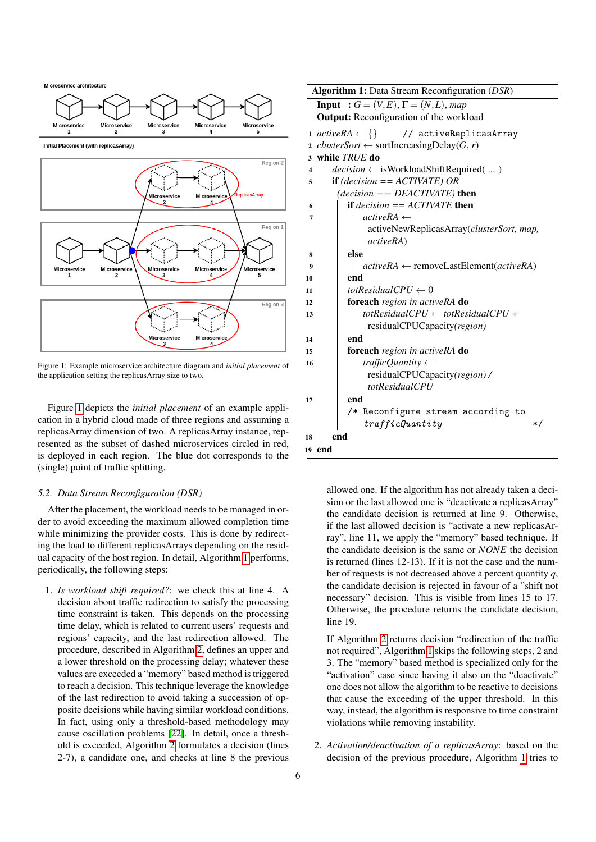<span id="page-5-0"></span>Microservice architecture



Initial Placement (with replicasArray)



Figure 1: Example microservice architecture diagram and *initial placement* of the application setting the replicasArray size to two.

Figure [1](#page-5-0) depicts the *initial placement* of an example application in a hybrid cloud made of three regions and assuming a replicasArray dimension of two. A replicasArray instance, represented as the subset of dashed microservices circled in red, is deployed in each region. The blue dot corresponds to the (single) point of traffic splitting.

#### *5.2. Data Stream Reconfiguration (DSR)*

After the placement, the workload needs to be managed in order to avoid exceeding the maximum allowed completion time while minimizing the provider costs. This is done by redirecting the load to different replicasArrays depending on the residual capacity of the host region. In detail, Algorithm [1](#page-5-1) performs, periodically, the following steps:

1. *Is workload shift required?*: we check this at line 4. A decision about traffic redirection to satisfy the processing time constraint is taken. This depends on the processing time delay, which is related to current users' requests and regions' capacity, and the last redirection allowed. The procedure, described in Algorithm [2,](#page-6-1) defines an upper and a lower threshold on the processing delay; whatever these values are exceeded a "memory" based method is triggered to reach a decision. This technique leverage the knowledge of the last redirection to avoid taking a succession of opposite decisions while having similar workload conditions. In fact, using only a threshold-based methodology may cause oscillation problems [\[22\]](#page-13-21). In detail, once a threshold is exceeded, Algorithm [2](#page-6-1) formulates a decision (lines 2-7), a candidate one, and checks at line 8 the previous

| Algorithm 1: Data Stream Reconfiguration (DSR)                       |  |  |  |  |  |
|----------------------------------------------------------------------|--|--|--|--|--|
| <b>Input</b> : $G = (V, E), \Gamma = (N, L), map$                    |  |  |  |  |  |
| <b>Output:</b> Reconfiguration of the workload                       |  |  |  |  |  |
| 1 $activeRA \leftarrow \{\}$ // $activeReplicasArray$                |  |  |  |  |  |
| 2 <i>clusterSort</i> $\leftarrow$ sortIncreasingDelay( <i>G, r</i> ) |  |  |  |  |  |
| while TRUE do<br>3                                                   |  |  |  |  |  |
| $decision \leftarrow$ is Workload Shift Required ()<br>4             |  |  |  |  |  |
| <b>if</b> (decision == $ACTIVATE$ ) OR<br>5                          |  |  |  |  |  |
| $(decision == DEACTIVATE)$ then                                      |  |  |  |  |  |
| if $decision = ACTIVATE$ then<br>6                                   |  |  |  |  |  |
| $activeRA \leftarrow$<br>7                                           |  |  |  |  |  |
| activeNewReplicasArray( <i>clusterSort, map,</i>                     |  |  |  |  |  |
| <i>activeRA</i> )                                                    |  |  |  |  |  |
| else<br>8                                                            |  |  |  |  |  |
| $activeRA \leftarrow removeLastElement(activeRA)$<br>9               |  |  |  |  |  |
| end<br>10                                                            |  |  |  |  |  |
| totResidualCPU $\leftarrow 0$<br>11                                  |  |  |  |  |  |
| foreach region in activeRA do<br>12                                  |  |  |  |  |  |
| totResidualCPU $\leftarrow$ totResidualCPU +<br>13                   |  |  |  |  |  |
| residualCPUCapacity(region)                                          |  |  |  |  |  |
| end<br>14                                                            |  |  |  |  |  |
| foreach region in activeRA do<br>15                                  |  |  |  |  |  |
| trafficQuantity $\leftarrow$<br>16                                   |  |  |  |  |  |
| residualCPUCapacity(region)/                                         |  |  |  |  |  |
| totResidualCPU                                                       |  |  |  |  |  |
| end<br>17                                                            |  |  |  |  |  |
| /* Reconfigure stream according to                                   |  |  |  |  |  |
| trafficQuantity<br>*/                                                |  |  |  |  |  |
| end<br>18                                                            |  |  |  |  |  |
| 19 end                                                               |  |  |  |  |  |

<span id="page-5-1"></span>allowed one. If the algorithm has not already taken a decision or the last allowed one is "deactivate a replicasArray" the candidate decision is returned at line 9. Otherwise, if the last allowed decision is "activate a new replicasArray", line 11, we apply the "memory" based technique. If the candidate decision is the same or *NONE* the decision is returned (lines 12-13). If it is not the case and the number of requests is not decreased above a percent quantity *q*, the candidate decision is rejected in favour of a "shift not necessary" decision. This is visible from lines 15 to 17. Otherwise, the procedure returns the candidate decision, line 19.

If Algorithm [2](#page-6-1) returns decision "redirection of the traffic not required", Algorithm [1](#page-5-1) skips the following steps, 2 and 3. The "memory" based method is specialized only for the "activation" case since having it also on the "deactivate" one does not allow the algorithm to be reactive to decisions that cause the exceeding of the upper threshold. In this way, instead, the algorithm is responsive to time constraint violations while removing instability.

2. *Activation/deactivation of a replicasArray*: based on the decision of the previous procedure, Algorithm [1](#page-5-1) tries to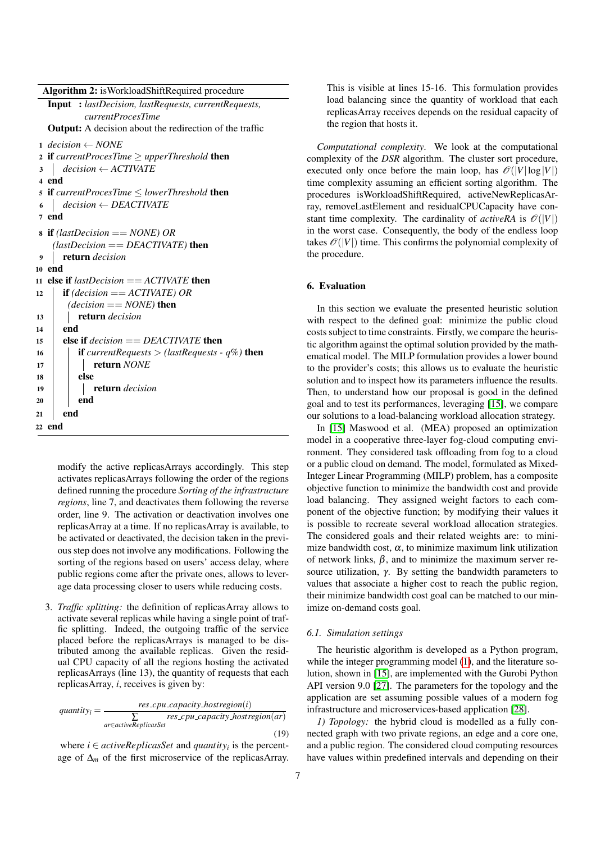<span id="page-6-1"></span>modify the active replicasArrays accordingly. This step activates replicasArrays following the order of the regions defined running the procedure *Sorting of the infrastructure regions*, line 7, and deactivates them following the reverse order, line 9. The activation or deactivation involves one replicasArray at a time. If no replicasArray is available, to be activated or deactivated, the decision taken in the previous step does not involve any modifications. Following the sorting of the regions based on users' access delay, where public regions come after the private ones, allows to leverage data processing closer to users while reducing costs.

3. *Traffic splitting:* the definition of replicasArray allows to activate several replicas while having a single point of traffic splitting. Indeed, the outgoing traffic of the service placed before the replicasArrays is managed to be distributed among the available replicas. Given the residual CPU capacity of all the regions hosting the activated replicasArrays (line 13), the quantity of requests that each replicasArray, *i*, receives is given by:

$$
quantity_{i} = \frac{res\_cpu\_capacity\_hostregion(i)}{r} - \frac{res\_cpu\_capacity\_hostregion(ar)}{r} - \frac{res\_cpu\_capacity\_hostregion(ar)}{r} \tag{19}
$$

where  $i \in activeReplicasSet$  and *quantity<sub>i</sub>* is the percentage of ∆*<sup>m</sup>* of the first microservice of the replicasArray. This is visible at lines 15-16. This formulation provides load balancing since the quantity of workload that each replicasArray receives depends on the residual capacity of the region that hosts it.

*Computational complexity*. We look at the computational complexity of the *DSR* algorithm. The cluster sort procedure, executed only once before the main loop, has  $\mathcal{O}(|V|\log|V|)$ time complexity assuming an efficient sorting algorithm. The procedures isWorkloadShiftRequired, activeNewReplicasArray, removeLastElement and residualCPUCapacity have constant time complexity. The cardinality of *activeRA* is  $\mathcal{O}(|V|)$ in the worst case. Consequently, the body of the endless loop takes  $\mathcal{O}(|V|)$  time. This confirms the polynomial complexity of the procedure.

## <span id="page-6-0"></span>6. Evaluation

In this section we evaluate the presented heuristic solution with respect to the defined goal: minimize the public cloud costs subject to time constraints. Firstly, we compare the heuristic algorithm against the optimal solution provided by the mathematical model. The MILP formulation provides a lower bound to the provider's costs; this allows us to evaluate the heuristic solution and to inspect how its parameters influence the results. Then, to understand how our proposal is good in the defined goal and to test its performances, leveraging [\[15\]](#page-13-14), we compare our solutions to a load-balancing workload allocation strategy.

In [\[15\]](#page-13-14) Maswood et al. (MEA) proposed an optimization model in a cooperative three-layer fog-cloud computing environment. They considered task offloading from fog to a cloud or a public cloud on demand. The model, formulated as Mixed-Integer Linear Programming (MILP) problem, has a composite objective function to minimize the bandwidth cost and provide load balancing. They assigned weight factors to each component of the objective function; by modifying their values it is possible to recreate several workload allocation strategies. The considered goals and their related weights are: to minimize bandwidth cost,  $\alpha$ , to minimize maximum link utilization of network links,  $\beta$ , and to minimize the maximum server resource utilization,  $\gamma$ . By setting the bandwidth parameters to values that associate a higher cost to reach the public region, their minimize bandwidth cost goal can be matched to our minimize on-demand costs goal.

#### *6.1. Simulation settings*

The heuristic algorithm is developed as a Python program, while the integer programming model [\(1\)](#page-3-1), and the literature solution, shown in [\[15\]](#page-13-14), are implemented with the Gurobi Python API version 9.0 [\[27\]](#page-13-26). The parameters for the topology and the application are set assuming possible values of a modern fog infrastructure and microservices-based application [\[28\]](#page-13-27).

*1) Topology:* the hybrid cloud is modelled as a fully connected graph with two private regions, an edge and a core one, and a public region. The considered cloud computing resources have values within predefined intervals and depending on their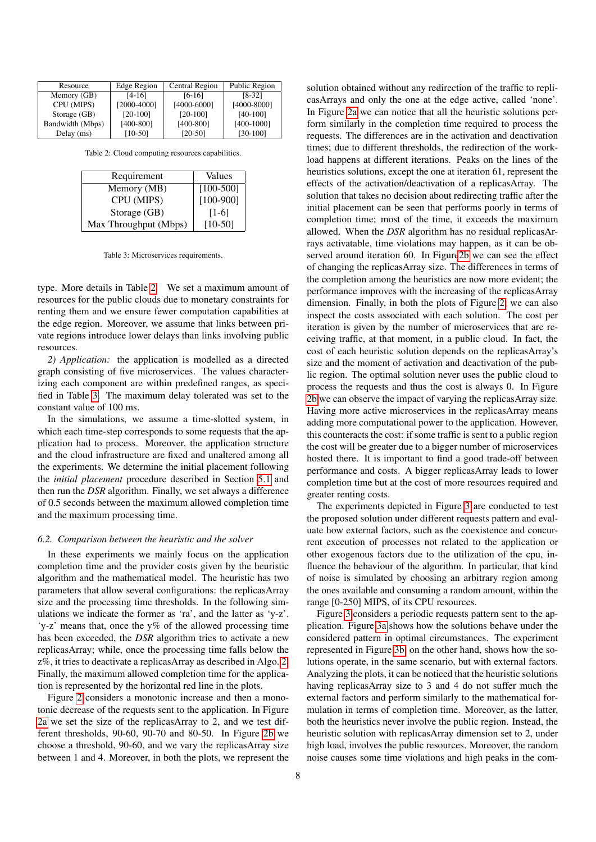<span id="page-7-0"></span>

| Resource         | Edge Region                    | Central Region | Public Region |
|------------------|--------------------------------|----------------|---------------|
| Memory (GB)      | <sup>[4-16]</sup>              | $[6-16]$       | $[8-32]$      |
| CPU (MIPS)       | [2000-4000]<br>$[4000 - 6000]$ |                | [4000-8000]   |
| Storage (GB)     | $[20-100]$                     | $[20-100]$     | $[40-100]$    |
| Bandwidth (Mbps) | $[400-800]$                    | $[400-800]$    | $[400-1000]$  |
| Delay (ms)       | $[10-50]$                      | $[20-50]$      | $[30-100]$    |

Table 2: Cloud computing resources capabilities.

<span id="page-7-1"></span>

| Requirement           | Values      |
|-----------------------|-------------|
| Memory (MB)           | $[100-500]$ |
| CPU (MIPS)            | $[100-900]$ |
| Storage (GB)          | $[1-6]$     |
| Max Throughput (Mbps) | $[10-50]$   |

Table 3: Microservices requirements.

type. More details in Table [2.](#page-7-0) We set a maximum amount of resources for the public clouds due to monetary constraints for renting them and we ensure fewer computation capabilities at the edge region. Moreover, we assume that links between private regions introduce lower delays than links involving public resources.

*2) Application:* the application is modelled as a directed graph consisting of five microservices. The values characterizing each component are within predefined ranges, as specified in Table [3.](#page-7-1) The maximum delay tolerated was set to the constant value of 100 ms.

In the simulations, we assume a time-slotted system, in which each time-step corresponds to some requests that the application had to process. Moreover, the application structure and the cloud infrastructure are fixed and unaltered among all the experiments. We determine the initial placement following the *initial placement* procedure described in Section [5.1](#page-4-1) and then run the *DSR* algorithm. Finally, we set always a difference of 0.5 seconds between the maximum allowed completion time and the maximum processing time.

#### *6.2. Comparison between the heuristic and the solver*

In these experiments we mainly focus on the application completion time and the provider costs given by the heuristic algorithm and the mathematical model. The heuristic has two parameters that allow several configurations: the replicasArray size and the processing time thresholds. In the following simulations we indicate the former as 'ra', and the latter as 'y-z'. 'y-z' means that, once the y% of the allowed processing time has been exceeded, the *DSR* algorithm tries to activate a new replicasArray; while, once the processing time falls below the z%, it tries to deactivate a replicasArray as described in Algo. [2.](#page-6-1) Finally, the maximum allowed completion time for the application is represented by the horizontal red line in the plots.

Figure [2](#page-8-0) considers a monotonic increase and then a monotonic decrease of the requests sent to the application. In Figure [2a](#page-8-0) we set the size of the replicasArray to 2, and we test different thresholds, 90-60, 90-70 and 80-50. In Figure [2b](#page-8-0) we choose a threshold, 90-60, and we vary the replicasArray size between 1 and 4. Moreover, in both the plots, we represent the

solution obtained without any redirection of the traffic to replicasArrays and only the one at the edge active, called 'none'. In Figure [2a](#page-8-0) we can notice that all the heuristic solutions perform similarly in the completion time required to process the requests. The differences are in the activation and deactivation times; due to different thresholds, the redirection of the workload happens at different iterations. Peaks on the lines of the heuristics solutions, except the one at iteration 61, represent the effects of the activation/deactivation of a replicasArray. The solution that takes no decision about redirecting traffic after the initial placement can be seen that performs poorly in terms of completion time; most of the time, it exceeds the maximum allowed. When the *DSR* algorithm has no residual replicasArrays activatable, time violations may happen, as it can be observed around iteration 60. In Figur[e2b](#page-8-0) we can see the effect of changing the replicasArray size. The differences in terms of the completion among the heuristics are now more evident; the performance improves with the increasing of the replicasArray dimension. Finally, in both the plots of Figure [2,](#page-8-0) we can also inspect the costs associated with each solution. The cost per iteration is given by the number of microservices that are receiving traffic, at that moment, in a public cloud. In fact, the cost of each heuristic solution depends on the replicasArray's size and the moment of activation and deactivation of the public region. The optimal solution never uses the public cloud to process the requests and thus the cost is always 0. In Figure [2b](#page-8-0) we can observe the impact of varying the replicasArray size. Having more active microservices in the replicasArray means adding more computational power to the application. However, this counteracts the cost: if some traffic is sent to a public region the cost will be greater due to a bigger number of microservices hosted there. It is important to find a good trade-off between performance and costs. A bigger replicasArray leads to lower completion time but at the cost of more resources required and greater renting costs.

The experiments depicted in Figure [3](#page-8-1) are conducted to test the proposed solution under different requests pattern and evaluate how external factors, such as the coexistence and concurrent execution of processes not related to the application or other exogenous factors due to the utilization of the cpu, influence the behaviour of the algorithm. In particular, that kind of noise is simulated by choosing an arbitrary region among the ones available and consuming a random amount, within the range [0-250] MIPS, of its CPU resources.

Figure [3](#page-8-1) considers a periodic requests pattern sent to the application. Figure [3a](#page-8-1) shows how the solutions behave under the considered pattern in optimal circumstances. The experiment represented in Figure [3b,](#page-8-1) on the other hand, shows how the solutions operate, in the same scenario, but with external factors. Analyzing the plots, it can be noticed that the heuristic solutions having replicasArray size to 3 and 4 do not suffer much the external factors and perform similarly to the mathematical formulation in terms of completion time. Moreover, as the latter, both the heuristics never involve the public region. Instead, the heuristic solution with replicasArray dimension set to 2, under high load, involves the public resources. Moreover, the random noise causes some time violations and high peaks in the com-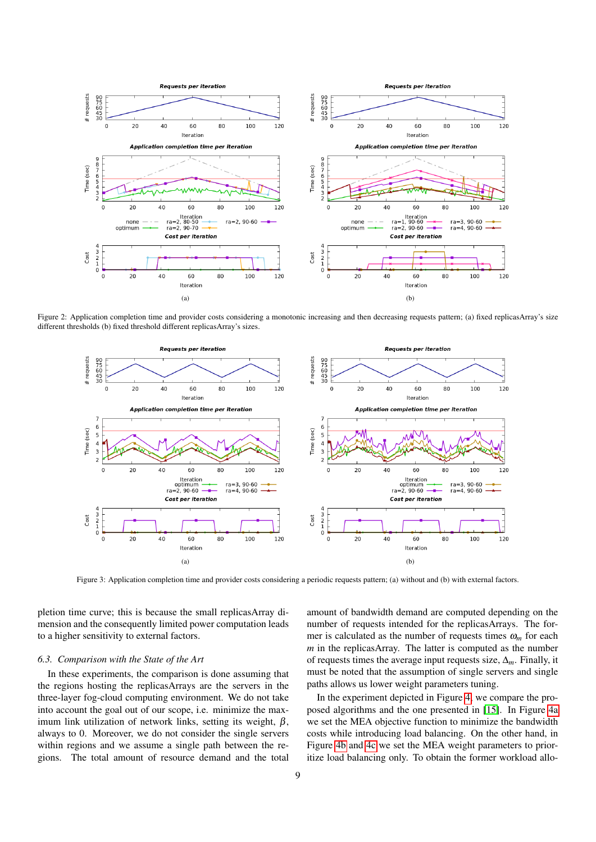<span id="page-8-0"></span>

<span id="page-8-1"></span>Figure 2: Application completion time and provider costs considering a monotonic increasing and then decreasing requests pattern; (a) fixed replicasArray's size different thresholds (b) fixed threshold different replicasArray's sizes.



Figure 3: Application completion time and provider costs considering a periodic requests pattern; (a) without and (b) with external factors.

pletion time curve; this is because the small replicasArray dimension and the consequently limited power computation leads to a higher sensitivity to external factors.

## *6.3. Comparison with the State of the Art*

In these experiments, the comparison is done assuming that the regions hosting the replicasArrays are the servers in the three-layer fog-cloud computing environment. We do not take into account the goal out of our scope, i.e. minimize the maximum link utilization of network links, setting its weight,  $\beta$ , always to 0. Moreover, we do not consider the single servers within regions and we assume a single path between the regions. The total amount of resource demand and the total amount of bandwidth demand are computed depending on the number of requests intended for the replicasArrays. The former is calculated as the number of requests times  $\omega_m$  for each *m* in the replicasArray. The latter is computed as the number of requests times the average input requests size, ∆*m*. Finally, it must be noted that the assumption of single servers and single paths allows us lower weight parameters tuning.

In the experiment depicted in Figure [4,](#page-9-0) we compare the proposed algorithms and the one presented in [\[15\]](#page-13-14). In Figure [4a](#page-9-0) we set the MEA objective function to minimize the bandwidth costs while introducing load balancing. On the other hand, in Figure [4b](#page-9-0) and [4c](#page-9-0) we set the MEA weight parameters to prioritize load balancing only. To obtain the former workload allo-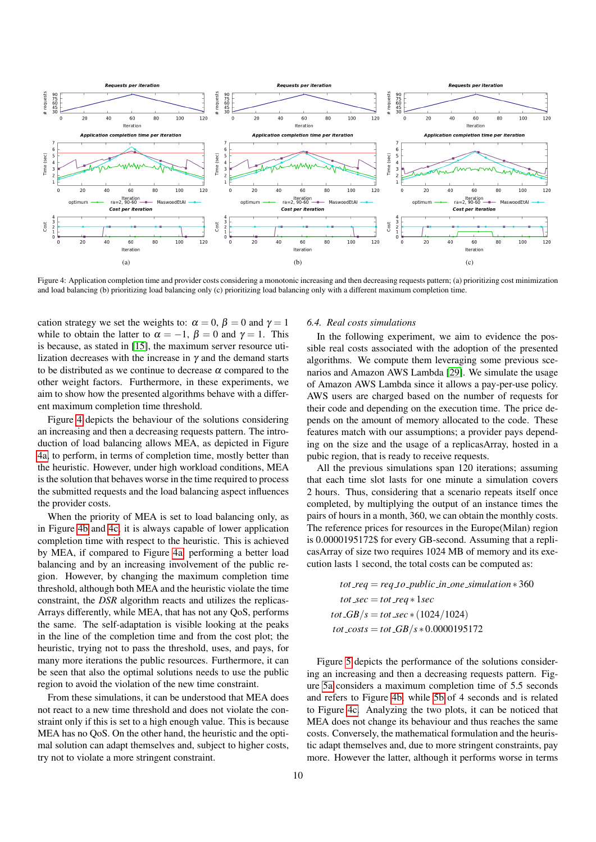<span id="page-9-0"></span>

Figure 4: Application completion time and provider costs considering a monotonic increasing and then decreasing requests pattern; (a) prioritizing cost minimization and load balancing (b) prioritizing load balancing only (c) prioritizing load balancing only with a different maximum completion time.

cation strategy we set the weights to:  $\alpha = 0$ ,  $\beta = 0$  and  $\gamma = 1$ while to obtain the latter to  $\alpha = -1$ ,  $\beta = 0$  and  $\gamma = 1$ . This is because, as stated in [\[15\]](#page-13-14), the maximum server resource utilization decreases with the increase in  $\gamma$  and the demand starts to be distributed as we continue to decrease  $\alpha$  compared to the other weight factors. Furthermore, in these experiments, we aim to show how the presented algorithms behave with a different maximum completion time threshold.

Figure [4](#page-9-0) depicts the behaviour of the solutions considering an increasing and then a decreasing requests pattern. The introduction of load balancing allows MEA, as depicted in Figure [4a,](#page-9-0) to perform, in terms of completion time, mostly better than the heuristic. However, under high workload conditions, MEA is the solution that behaves worse in the time required to process the submitted requests and the load balancing aspect influences the provider costs.

When the priority of MEA is set to load balancing only, as in Figure [4b](#page-9-0) and [4c,](#page-9-0) it is always capable of lower application completion time with respect to the heuristic. This is achieved by MEA, if compared to Figure [4a,](#page-9-0) performing a better load balancing and by an increasing involvement of the public region. However, by changing the maximum completion time threshold, although both MEA and the heuristic violate the time constraint, the *DSR* algorithm reacts and utilizes the replicas-Arrays differently, while MEA, that has not any QoS, performs the same. The self-adaptation is visible looking at the peaks in the line of the completion time and from the cost plot; the heuristic, trying not to pass the threshold, uses, and pays, for many more iterations the public resources. Furthermore, it can be seen that also the optimal solutions needs to use the public region to avoid the violation of the new time constraint.

From these simulations, it can be understood that MEA does not react to a new time threshold and does not violate the constraint only if this is set to a high enough value. This is because MEA has no QoS. On the other hand, the heuristic and the optimal solution can adapt themselves and, subject to higher costs, try not to violate a more stringent constraint.

# *6.4. Real costs simulations*

In the following experiment, we aim to evidence the possible real costs associated with the adoption of the presented algorithms. We compute them leveraging some previous scenarios and Amazon AWS Lambda [\[29\]](#page-13-28). We simulate the usage of Amazon AWS Lambda since it allows a pay-per-use policy. AWS users are charged based on the number of requests for their code and depending on the execution time. The price depends on the amount of memory allocated to the code. These features match with our assumptions; a provider pays depending on the size and the usage of a replicasArray, hosted in a pubic region, that is ready to receive requests.

All the previous simulations span 120 iterations; assuming that each time slot lasts for one minute a simulation covers 2 hours. Thus, considering that a scenario repeats itself once completed, by multiplying the output of an instance times the pairs of hours in a month, 360, we can obtain the monthly costs. The reference prices for resources in the Europe(Milan) region is 0.0000195172\$ for every GB-second. Assuming that a replicasArray of size two requires 1024 MB of memory and its execution lasts 1 second, the total costs can be computed as:

 $tot\_req = req_to\_public\_in\_one\_simulation * 360$  $tot\_sec = tot\_req * lsec$ *tot*  $\frac{GB}{s} = \frac{tot \, \text{sec} \cdot (1024/1024)}{s}$  $tot\_costs = tot\_GB/s * 0.0000195172$ 

Figure [5](#page-10-1) depicts the performance of the solutions considering an increasing and then a decreasing requests pattern. Figure [5a](#page-10-1) considers a maximum completion time of 5.5 seconds and refers to Figure [4b,](#page-9-0) while [5b](#page-10-1) of 4 seconds and is related to Figure [4c.](#page-9-0) Analyzing the two plots, it can be noticed that MEA does not change its behaviour and thus reaches the same costs. Conversely, the mathematical formulation and the heuristic adapt themselves and, due to more stringent constraints, pay more. However the latter, although it performs worse in terms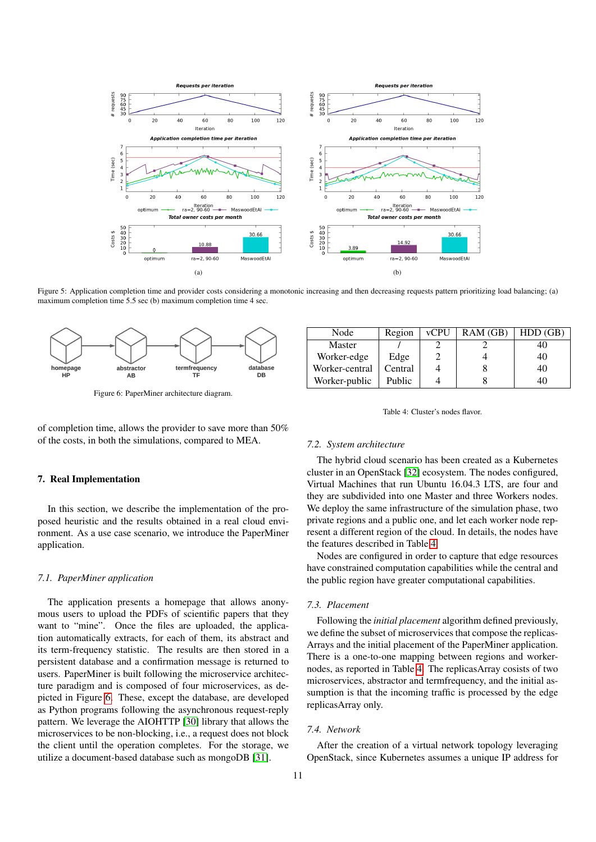<span id="page-10-1"></span>

Figure 5: Application completion time and provider costs considering a monotonic increasing and then decreasing requests pattern prioritizing load balancing; (a) maximum completion time 5.5 sec (b) maximum completion time 4 sec.

<span id="page-10-2"></span>

Figure 6: PaperMiner architecture diagram.

of completion time, allows the provider to save more than 50% of the costs, in both the simulations, compared to MEA.

### <span id="page-10-0"></span>7. Real Implementation

In this section, we describe the implementation of the proposed heuristic and the results obtained in a real cloud environment. As a use case scenario, we introduce the PaperMiner application.

## *7.1. PaperMiner application*

The application presents a homepage that allows anonymous users to upload the PDFs of scientific papers that they want to "mine". Once the files are uploaded, the application automatically extracts, for each of them, its abstract and its term-frequency statistic. The results are then stored in a persistent database and a confirmation message is returned to users. PaperMiner is built following the microservice architecture paradigm and is composed of four microservices, as depicted in Figure [6.](#page-10-2) These, except the database, are developed as Python programs following the asynchronous request-reply pattern. We leverage the AIOHTTP [\[30\]](#page-13-29) library that allows the microservices to be non-blocking, i.e., a request does not block the client until the operation completes. For the storage, we utilize a document-based database such as mongoDB [\[31\]](#page-13-30).

<span id="page-10-3"></span>

| Node           | Region  | <b>vCPU</b> | RAM(GB) | HDD(GB) |
|----------------|---------|-------------|---------|---------|
| Master         |         |             |         |         |
| Worker-edge    | Edge    |             |         | 40      |
| Worker-central | Central |             |         | 40      |
| Worker-public  | Public  |             |         |         |

Table 4: Cluster's nodes flavor.

#### *7.2. System architecture*

The hybrid cloud scenario has been created as a Kubernetes cluster in an OpenStack [\[32\]](#page-13-31) ecosystem. The nodes configured, Virtual Machines that run Ubuntu 16.04.3 LTS, are four and they are subdivided into one Master and three Workers nodes. We deploy the same infrastructure of the simulation phase, two private regions and a public one, and let each worker node represent a different region of the cloud. In details, the nodes have the features described in Table [4.](#page-10-3)

Nodes are configured in order to capture that edge resources have constrained computation capabilities while the central and the public region have greater computational capabilities.

#### *7.3. Placement*

Following the *initial placement* algorithm defined previously, we define the subset of microservices that compose the replicas-Arrays and the initial placement of the PaperMiner application. There is a one-to-one mapping between regions and workernodes, as reported in Table [4.](#page-10-3) The replicasArray cosists of two microservices, abstractor and termfrequency, and the initial assumption is that the incoming traffic is processed by the edge replicasArray only.

#### *7.4. Network*

After the creation of a virtual network topology leveraging OpenStack, since Kubernetes assumes a unique IP address for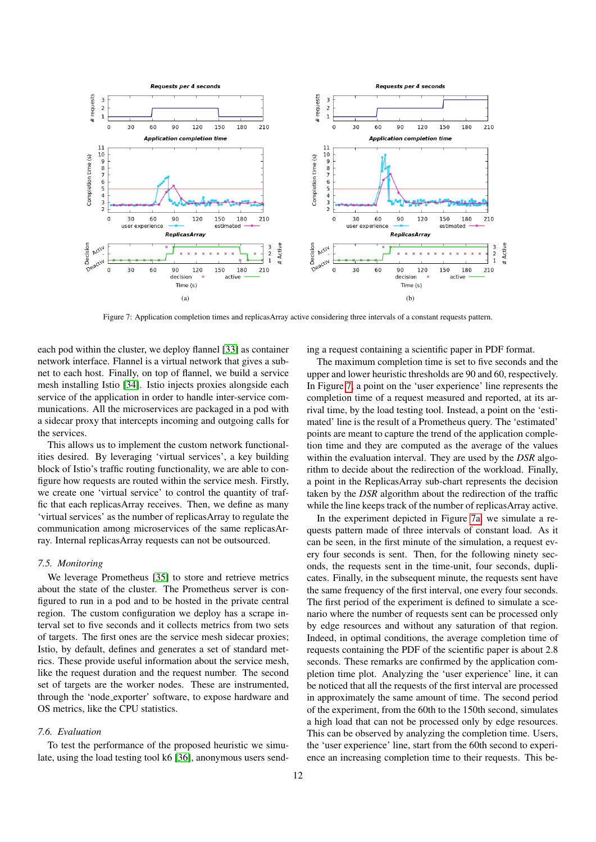<span id="page-11-0"></span>

Figure 7: Application completion times and replicasArray active considering three intervals of a constant requests pattern.

each pod within the cluster, we deploy flannel [\[33\]](#page-13-32) as container network interface. Flannel is a virtual network that gives a subnet to each host. Finally, on top of flannel, we build a service mesh installing Istio [\[34\]](#page-13-33). Istio injects proxies alongside each service of the application in order to handle inter-service communications. All the microservices are packaged in a pod with a sidecar proxy that intercepts incoming and outgoing calls for the services.

This allows us to implement the custom network functionalities desired. By leveraging 'virtual services', a key building block of Istio's traffic routing functionality, we are able to configure how requests are routed within the service mesh. Firstly, we create one 'virtual service' to control the quantity of traffic that each replicasArray receives. Then, we define as many 'virtual services' as the number of replicasArray to regulate the communication among microservices of the same replicasArray. Internal replicasArray requests can not be outsourced.

## *7.5. Monitoring*

We leverage Prometheus [\[35\]](#page-13-34) to store and retrieve metrics about the state of the cluster. The Prometheus server is configured to run in a pod and to be hosted in the private central region. The custom configuration we deploy has a scrape interval set to five seconds and it collects metrics from two sets of targets. The first ones are the service mesh sidecar proxies; Istio, by default, defines and generates a set of standard metrics. These provide useful information about the service mesh, like the request duration and the request number. The second set of targets are the worker nodes. These are instrumented, through the 'node exporter' software, to expose hardware and OS metrics, like the CPU statistics.

#### *7.6. Evaluation*

To test the performance of the proposed heuristic we simulate, using the load testing tool k6 [\[36\]](#page-13-35), anonymous users sending a request containing a scientific paper in PDF format.

The maximum completion time is set to five seconds and the upper and lower heuristic thresholds are 90 and 60, respectively. In Figure [7,](#page-11-0) a point on the 'user experience' line represents the completion time of a request measured and reported, at its arrival time, by the load testing tool. Instead, a point on the 'estimated' line is the result of a Prometheus query. The 'estimated' points are meant to capture the trend of the application completion time and they are computed as the average of the values within the evaluation interval. They are used by the *DSR* algorithm to decide about the redirection of the workload. Finally, a point in the ReplicasArray sub-chart represents the decision taken by the *DSR* algorithm about the redirection of the traffic while the line keeps track of the number of replicasArray active.

In the experiment depicted in Figure [7a,](#page-11-0) we simulate a requests pattern made of three intervals of constant load. As it can be seen, in the first minute of the simulation, a request every four seconds is sent. Then, for the following ninety seconds, the requests sent in the time-unit, four seconds, duplicates. Finally, in the subsequent minute, the requests sent have the same frequency of the first interval, one every four seconds. The first period of the experiment is defined to simulate a scenario where the number of requests sent can be processed only by edge resources and without any saturation of that region. Indeed, in optimal conditions, the average completion time of requests containing the PDF of the scientific paper is about 2.8 seconds. These remarks are confirmed by the application completion time plot. Analyzing the 'user experience' line, it can be noticed that all the requests of the first interval are processed in approximately the same amount of time. The second period of the experiment, from the 60th to the 150th second, simulates a high load that can not be processed only by edge resources. This can be observed by analyzing the completion time. Users, the 'user experience' line, start from the 60th second to experience an increasing completion time to their requests. This be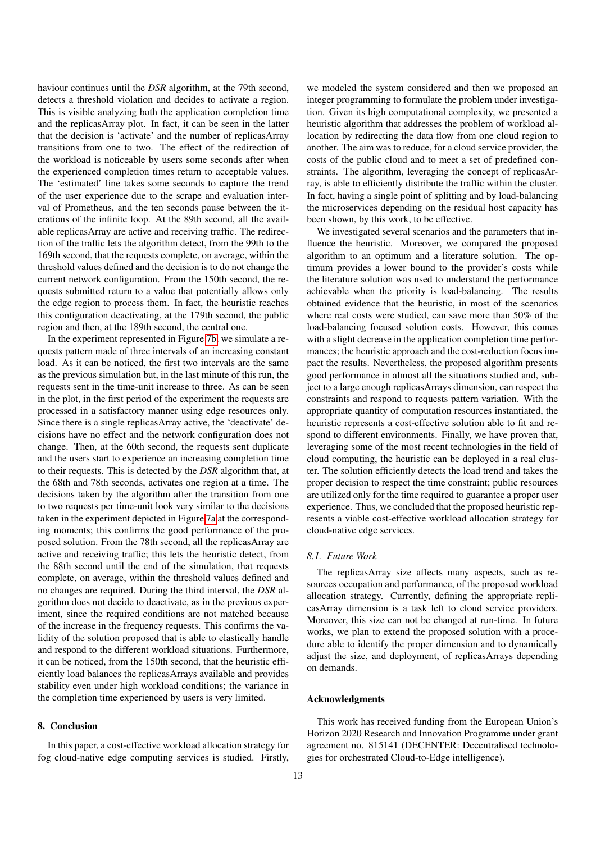haviour continues until the *DSR* algorithm, at the 79th second, detects a threshold violation and decides to activate a region. This is visible analyzing both the application completion time and the replicasArray plot. In fact, it can be seen in the latter that the decision is 'activate' and the number of replicasArray transitions from one to two. The effect of the redirection of the workload is noticeable by users some seconds after when the experienced completion times return to acceptable values. The 'estimated' line takes some seconds to capture the trend of the user experience due to the scrape and evaluation interval of Prometheus, and the ten seconds pause between the iterations of the infinite loop. At the 89th second, all the available replicasArray are active and receiving traffic. The redirection of the traffic lets the algorithm detect, from the 99th to the 169th second, that the requests complete, on average, within the threshold values defined and the decision is to do not change the current network configuration. From the 150th second, the requests submitted return to a value that potentially allows only the edge region to process them. In fact, the heuristic reaches this configuration deactivating, at the 179th second, the public region and then, at the 189th second, the central one.

In the experiment represented in Figure [7b,](#page-11-0) we simulate a requests pattern made of three intervals of an increasing constant load. As it can be noticed, the first two intervals are the same as the previous simulation but, in the last minute of this run, the requests sent in the time-unit increase to three. As can be seen in the plot, in the first period of the experiment the requests are processed in a satisfactory manner using edge resources only. Since there is a single replicasArray active, the 'deactivate' decisions have no effect and the network configuration does not change. Then, at the 60th second, the requests sent duplicate and the users start to experience an increasing completion time to their requests. This is detected by the *DSR* algorithm that, at the 68th and 78th seconds, activates one region at a time. The decisions taken by the algorithm after the transition from one to two requests per time-unit look very similar to the decisions taken in the experiment depicted in Figure [7a](#page-11-0) at the corresponding moments; this confirms the good performance of the proposed solution. From the 78th second, all the replicasArray are active and receiving traffic; this lets the heuristic detect, from the 88th second until the end of the simulation, that requests complete, on average, within the threshold values defined and no changes are required. During the third interval, the *DSR* algorithm does not decide to deactivate, as in the previous experiment, since the required conditions are not matched because of the increase in the frequency requests. This confirms the validity of the solution proposed that is able to elastically handle and respond to the different workload situations. Furthermore, it can be noticed, from the 150th second, that the heuristic efficiently load balances the replicasArrays available and provides stability even under high workload conditions; the variance in the completion time experienced by users is very limited.

## 8. Conclusion

In this paper, a cost-effective workload allocation strategy for fog cloud-native edge computing services is studied. Firstly,

we modeled the system considered and then we proposed an integer programming to formulate the problem under investigation. Given its high computational complexity, we presented a heuristic algorithm that addresses the problem of workload allocation by redirecting the data flow from one cloud region to another. The aim was to reduce, for a cloud service provider, the costs of the public cloud and to meet a set of predefined constraints. The algorithm, leveraging the concept of replicasArray, is able to efficiently distribute the traffic within the cluster. In fact, having a single point of splitting and by load-balancing the microservices depending on the residual host capacity has been shown, by this work, to be effective.

We investigated several scenarios and the parameters that influence the heuristic. Moreover, we compared the proposed algorithm to an optimum and a literature solution. The optimum provides a lower bound to the provider's costs while the literature solution was used to understand the performance achievable when the priority is load-balancing. The results obtained evidence that the heuristic, in most of the scenarios where real costs were studied, can save more than 50% of the load-balancing focused solution costs. However, this comes with a slight decrease in the application completion time performances; the heuristic approach and the cost-reduction focus impact the results. Nevertheless, the proposed algorithm presents good performance in almost all the situations studied and, subject to a large enough replicasArrays dimension, can respect the constraints and respond to requests pattern variation. With the appropriate quantity of computation resources instantiated, the heuristic represents a cost-effective solution able to fit and respond to different environments. Finally, we have proven that, leveraging some of the most recent technologies in the field of cloud computing, the heuristic can be deployed in a real cluster. The solution efficiently detects the load trend and takes the proper decision to respect the time constraint; public resources are utilized only for the time required to guarantee a proper user experience. Thus, we concluded that the proposed heuristic represents a viable cost-effective workload allocation strategy for cloud-native edge services.

## *8.1. Future Work*

The replicasArray size affects many aspects, such as resources occupation and performance, of the proposed workload allocation strategy. Currently, defining the appropriate replicasArray dimension is a task left to cloud service providers. Moreover, this size can not be changed at run-time. In future works, we plan to extend the proposed solution with a procedure able to identify the proper dimension and to dynamically adjust the size, and deployment, of replicasArrays depending on demands.

#### Acknowledgments

This work has received funding from the European Union's Horizon 2020 Research and Innovation Programme under grant agreement no. 815141 (DECENTER: Decentralised technologies for orchestrated Cloud-to-Edge intelligence).